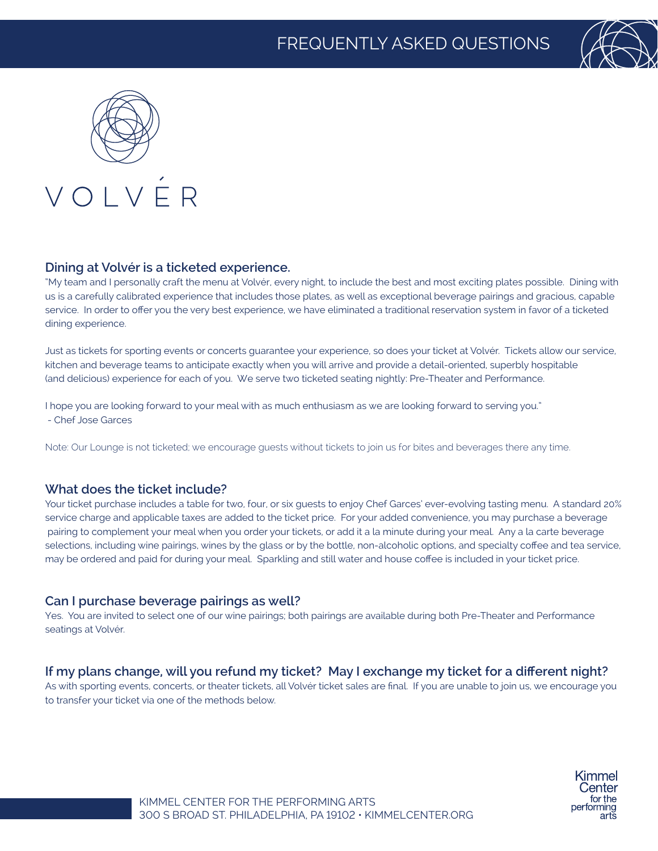



## VOLVÉR

#### **Dining at Volvér is a ticketed experience.**

"My team and I personally craft the menu at Volvér, every night, to include the best and most exciting plates possible. Dining with us is a carefully calibrated experience that includes those plates, as well as exceptional beverage pairings and gracious, capable service. In order to offer you the very best experience, we have eliminated a traditional reservation system in favor of a ticketed dining experience.

Just as tickets for sporting events or concerts guarantee your experience, so does your ticket at Volvér. Tickets allow our service, kitchen and beverage teams to anticipate exactly when you will arrive and provide a detail-oriented, superbly hospitable (and delicious) experience for each of you. We serve two ticketed seating nightly: Pre-Theater and Performance.

I hope you are looking forward to your meal with as much enthusiasm as we are looking forward to serving you." - Chef Jose Garces

Note: Our Lounge is not ticketed; we encourage guests without tickets to join us for bites and beverages there any time.

#### **What does the ticket include?**

Your ticket purchase includes a table for two, four, or six guests to enjoy Chef Garces' ever-evolving tasting menu. A standard 20% service charge and applicable taxes are added to the ticket price. For your added convenience, you may purchase a beverage pairing to complement your meal when you order your tickets, or add it a la minute during your meal. Any a la carte beverage selections, including wine pairings, wines by the glass or by the bottle, non-alcoholic options, and specialty coffee and tea service, may be ordered and paid for during your meal. Sparkling and still water and house coffee is included in your ticket price.

#### **Can I purchase beverage pairings as well?**

Yes. You are invited to select one of our wine pairings; both pairings are available during both Pre-Theater and Performance seatings at Volvér.

#### **If my plans change, will you refund my ticket? May I exchange my ticket for a different night?**

As with sporting events, concerts, or theater tickets, all Volvér ticket sales are final. If you are unable to join us, we encourage you to transfer your ticket via one of the methods below.

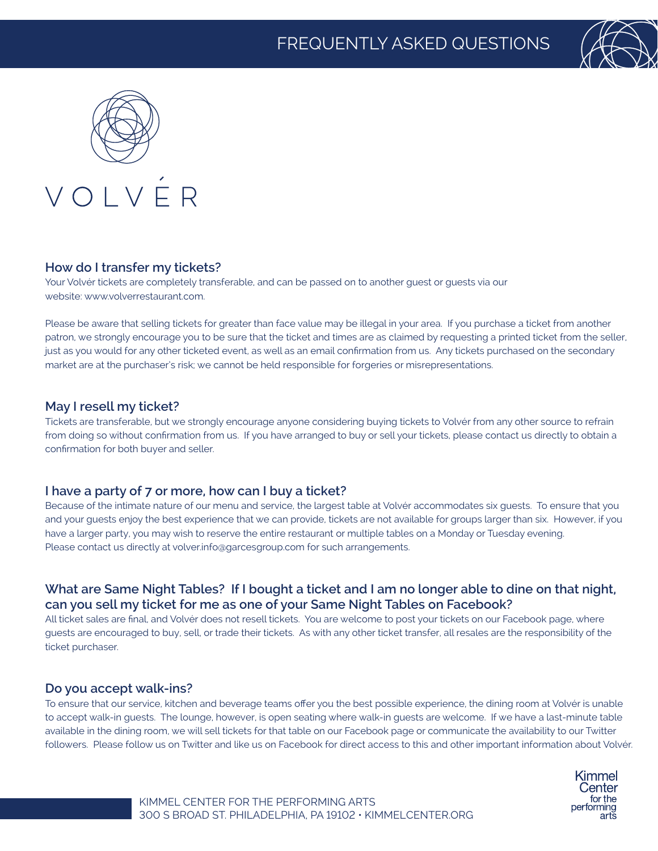



#### **How do I transfer my tickets?**

Your Volvér tickets are completely transferable, and can be passed on to another guest or guests via our website: www.volverrestaurant.com.

Please be aware that selling tickets for greater than face value may be illegal in your area. If you purchase a ticket from another patron, we strongly encourage you to be sure that the ticket and times are as claimed by requesting a printed ticket from the seller, just as you would for any other ticketed event, as well as an email confirmation from us. Any tickets purchased on the secondary market are at the purchaser's risk; we cannot be held responsible for forgeries or misrepresentations.

#### **May I resell my ticket?**

Tickets are transferable, but we strongly encourage anyone considering buying tickets to Volvér from any other source to refrain from doing so without confirmation from us. If you have arranged to buy or sell your tickets, please contact us directly to obtain a confirmation for both buyer and seller.

#### **I have a party of 7 or more, how can I buy a ticket?**

Because of the intimate nature of our menu and service, the largest table at Volvér accommodates six guests. To ensure that you and your guests enjoy the best experience that we can provide, tickets are not available for groups larger than six. However, if you have a larger party, you may wish to reserve the entire restaurant or multiple tables on a Monday or Tuesday evening. Please contact us directly at volver.info@garcesgroup.com for such arrangements.

#### **What are Same Night Tables? If I bought a ticket and I am no longer able to dine on that night, can you sell my ticket for me as one of your Same Night Tables on Facebook?**

All ticket sales are final, and Volvér does not resell tickets. You are welcome to post your tickets on our Facebook page, where guests are encouraged to buy, sell, or trade their tickets. As with any other ticket transfer, all resales are the responsibility of the ticket purchaser.

#### **Do you accept walk-ins?**

To ensure that our service, kitchen and beverage teams offer you the best possible experience, the dining room at Volvér is unable to accept walk-in guests. The lounge, however, is open seating where walk-in guests are welcome. If we have a last-minute table available in the dining room, we will sell tickets for that table on our Facebook page or communicate the availability to our Twitter followers. Please follow us on Twitter and like us on Facebook for direct access to this and other important information about Volvér.